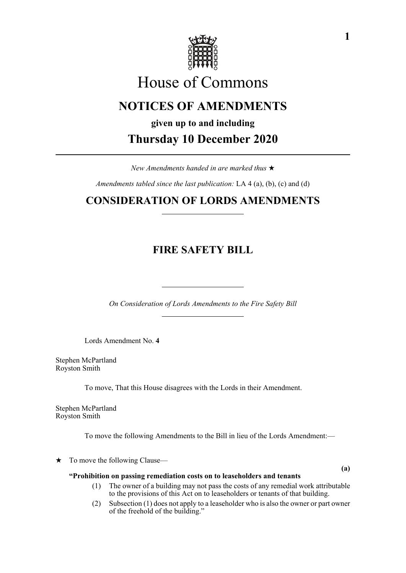

# House of Commons

# **NOTICES OF AMENDMENTS**

**given up to and including Thursday 10 December 2020**

*New Amendments handed in are marked thus* 

*Amendments tabled since the last publication:* LA 4 (a), (b), (c) and (d)

## **CONSIDERATION OF LORDS AMENDMENTS**

## **FIRE SAFETY BILL**

*On Consideration of Lords Amendments to the Fire Safety Bill*

Lords Amendment No. **4**

Stephen McPartland Royston Smith

To move, That this House disagrees with the Lords in their Amendment.

Stephen McPartland Royston Smith

To move the following Amendments to the Bill in lieu of the Lords Amendment:—

 $\star$  To move the following Clause—

**(a)**

#### **"Prohibition on passing remediation costs on to leaseholders and tenants**

- (1) The owner of a building may not pass the costs of any remedial work attributable to the provisions of this Act on to leaseholders or tenants of that building.
- (2) Subsection (1) does not apply to a leaseholder who is also the owner or part owner of the freehold of the building."